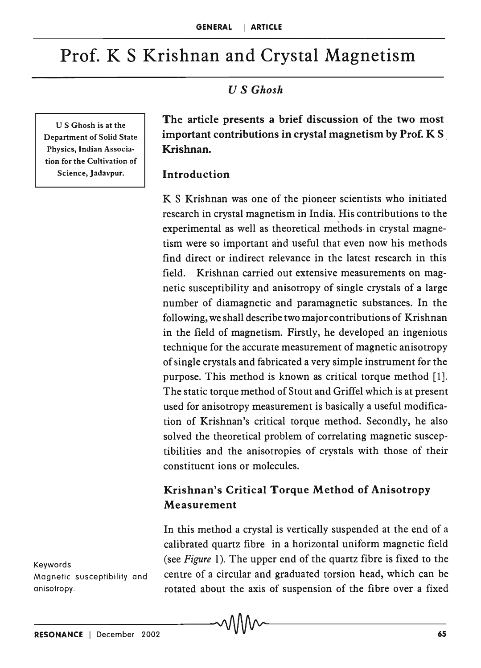# Prof. K S Krishnan and Crystal Magnetism

# *US Ghosh*

U S Ghosh is at the Department of Solid State Physics, Indian Association for the Cultivation of Science, Jadavpur.

The article presents a brief discussion of the two most important contributions in crystal magnetism by Prof. K S . Krishnan.

#### Introduction

K S Krishnan was one of the pioneer scientists who initiated research in crystal magnetism in India. His contributions to the experimental as well as theoretical methods in crystal magnetism were so important and useful that even now his methods find direct or indirect relevance in the latest research in this field. Krishnan carried out extensive measurements on magnetic susceptibility and anisotropy of single crystals of a large number of diamagnetic and paramagnetic substances. In the following, we shall describe two major contributions of Krishnan in the field of magnetism. Firstly, he developed an ingenious technique for the accurate measurement of magnetic anisotropy of single crystals and fabricated a very simple instrument for the purpose. This method is known as critical torque method [1]. The static torque method of Stout and Griffel which is at present used for anisotropy measurement is basically a useful modification of Krishnan's critical torque method. Secondly, he also solved the theoretical problem of correlating magnetic susceptibilities and the anisotropies of crystals with those of their constituent ions or molecules.

### Krishnan's Critical Torque Method of Anisotropy Measurement

In this method a crystal is vertically suspended at the end of a calibrated quartz fibre in a horizontal uniform magnetic field (see *Figure* I). The upper end of the quartz fibre is fixed to the centre of a circular and graduated torsion head, which can be rotated about the axis of suspension of the fibre over a fixed

Keywords Magnetic susceptibility and anisotropy.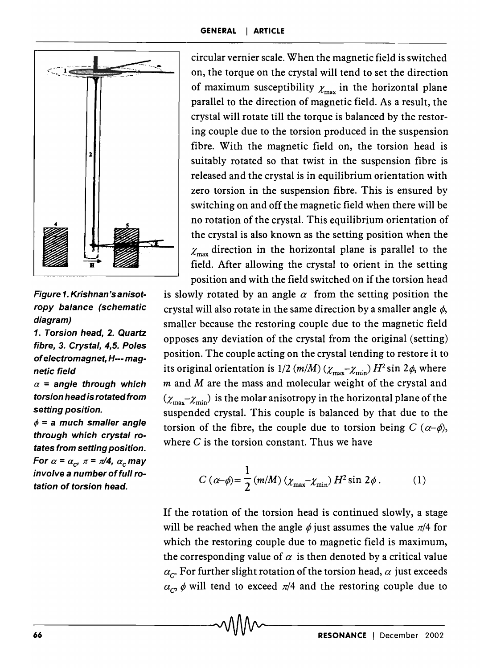

Figure 1. Krishnan's anisotropy balance (schematic diagram)

1. Torsion head, 2. Quartz fibre, 3. Crystal, 4,5. Poles of electromagnet, H--- magnetic field

 $\alpha$  = angle through which torsion head is rotated from setting position.

 $\phi$  = a much smaller angle through which crystal rotates from setting position. For  $\alpha = \alpha_c$ ,  $\pi = \pi/4$ ,  $\alpha_c$  may involve a number of full rotation of torsion head.

circular vernier scale. When the magnetic field is switched on, the torque on the crystal will tend to set the direction of maximum susceptibility  $\chi_{\text{max}}$  in the horizontal plane parallel to the direction of magnetic field. As a result, the crystal will rotate till the torque is balanced by the restoring couple due to the torsion produced in the suspension fibre. With the magnetic field on, the torsion head is suitably rotated so that twist in the suspension fibre is released and the crystal is in equilibrium orientation with zero torsion in the suspension fibre. This is ensured by switching on and off the magnetic field when there will be no rotation of the crystal. This equilibrium orientation of the crystal is also known as the setting position when the  $\chi_{\text{max}}$  direction in the horizontal plane is parallel to the field. After allowing the crystal to orient in the setting position and with the field switched on if the torsion head

is slowly rotated by an angle  $\alpha$  from the setting position the crystal will also rotate in the same direction by a smaller angle  $\phi$ , smaller because the restoring couple due to the magnetic field opposes any deviation of the crystal from the original (setting) position. The couple acting on the crystal tending to restore it to its original orientation is 1/2 (m/M) ( $\chi_{\text{max}} - \chi_{\text{min}}$ )  $H^2 \sin 2\phi$ , where *m* and M are the mass and molecular weight of the crystal and  $(\chi_{\text{max}}-\chi_{\text{min}})$  is the molar anisotropy in the horizontal plane of the suspended crystal. This couple is balanced by that due to the torsion of the fibre, the couple due to torsion being  $C(\alpha-\phi)$ , where  $C$  is the torsion constant. Thus we have

$$
C\left(\alpha-\phi\right) = \frac{1}{2}\left(m/M\right)\left(\chi_{\text{max}}-\chi_{\text{min}}\right)H^2\sin 2\phi\,. \tag{1}
$$

If the rotation of the torsion head is continued slowly, a stage will be reached when the angle  $\phi$  just assumes the value  $\pi/4$  for which the restoring couple due to magnetic field is maximum, the corresponding value of  $\alpha$  is then denoted by a critical value  $\alpha_{C}$  For further slight rotation of the torsion head,  $\alpha$  just exceeds  $\alpha_C$ ,  $\phi$  will tend to exceed  $\pi/4$  and the restoring couple due to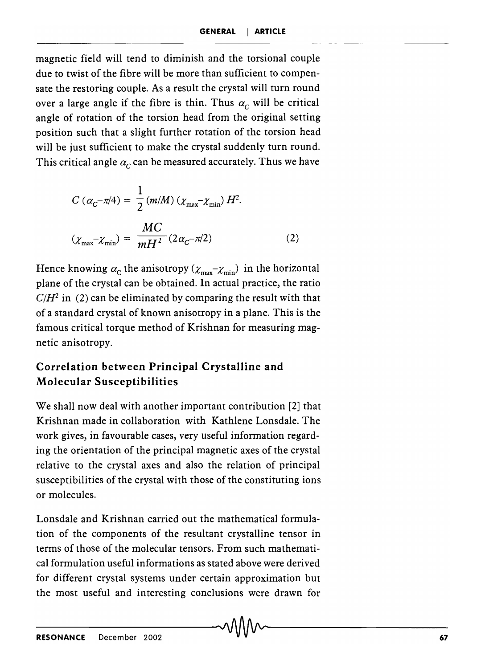magnetic field will tend to diminish and the torsional couple due to twist of the fibre will be more than sufficient to compensate the restoring couple. As a result the crystal will turn round over a large angle if the fibre is thin. Thus  $\alpha_c$  will be critical angle of rotation of the torsion head from the original setting position such that a slight further rotation of the torsion head will be just sufficient to make the crystal suddenly turn round. This critical angle  $\alpha_c$  can be measured accurately. Thus we have

$$
C\left(\alpha_{C} - \pi/4\right) = \frac{1}{2} \left(m/M\right) \left(\chi_{\text{max}} - \chi_{\text{min}}\right) H^{2}.
$$

$$
\left(\chi_{\text{max}} - \chi_{\text{min}}\right) = \frac{MC}{mH^{2}} \left(2\alpha_{C} - \pi/2\right) \tag{2}
$$

Hence knowing  $\alpha_c$  the anisotropy  $(\chi_{\text{max}}-\chi_{\text{min}})$  in the horizontal plane of the crystal can be obtained. In actual practice, the ratio  $C/H^2$  in (2) can be eliminated by comparing the result with that of a standard crystal of known anisotropy in a plane. This is the famous critical torque method of Krishnan for measuring magnetic anisotropy.

# Correlation between Principal Crystalline and Molecular Susceptibilities

We shall now deal with another important contribution [2] that Krishnan made in collaboration with Kathlene Lonsdale. The work gives, in favourable cases, very useful information regarding the orientation of the principal magnetic axes of the crystal relative to the crystal axes and also the relation of principal susceptibilities of the crystal with those of the constituting ions or molecules.

Lonsdale and Krishnan carried out the mathematical formulation of the components of the resultant crystalline tensor in terms of those of the molecular tensors. From such mathematical formulation useful informations as stated above were derived for different crystal systems under certain approximation but the most useful and interesting conclusions were drawn for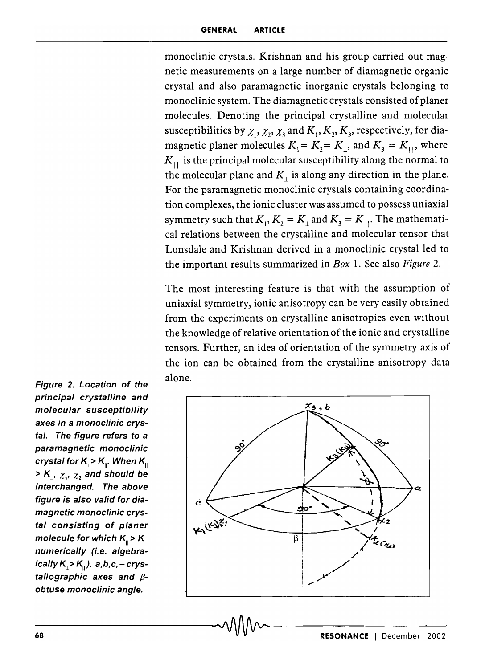monoclinic crystals. Krishnan and his group carried out magnetic measurements on a large number of diamagnetic organic crystal and also paramagnetic inorganic crystals belonging to monoclinic system. The diamagnetic crystals consisted of planer molecules. Denoting the principal crystalline and molecular susceptibilities by  $\chi_1, \chi_2, \chi_3$  and  $K_1, K_2, K_3$ , respectively, for diamagnetic planer molecules  $K_1 = K_2 = K_1$ , and  $K_3 = K_{11}$ , where  $K_{\perp}$  is the principal molecular susceptibility along the normal to the molecular plane and  $K_{\perp}$  is along any direction in the plane. For the paramagnetic monoclinic crystals containing coordination complexes, the ionic cluster was assumed to possess uniaxial symmetry such that  $K_1, K_2 = K_1$  and  $K_3 = K_{11}$ . The mathematical relations between the crystalline and molecular tensor that Lonsdale and Krishnan derived in a monoclinic crystal led to the important results summarized in *Box* 1. See also *Figure 2.* 

The most interesting feature is that with the assumption of uniaxial symmetry, ionic anisotropy can be very easily obtained from the experiments on crystalline anisotropies even without the knowledge of relative orientation of the ionic and crystalline tensors. Further, an idea of orientation of the symmetry axis of the ion can be obtained from the crystalline anisotropy data alone.



Figure 2. Location of the principal crystalline and molecular susceptibility axes in a monoclinic crystal. The figure refers to a paramagnetic monoclinic crystal for K<sub> $\vert$ </sub>> K<sub> $\vert$ </sub>. When K<sub> $\vert$ </sub>  $>$  K<sub>i</sub>,  $\chi$ <sub>1</sub>,  $\chi$ <sub>2</sub> and should be interchanged. The above figure is also valid for diamagnetic monoclinic crystal consisting of planer molecule for which  $K_{\parallel} > K_{\perp}$ numerically (i.e. algebraically  $K \ge K_{\mathfrak{m}}$ ). a,b,c, - crystallographic axes and  $\beta$ obtuse monoclinic angle.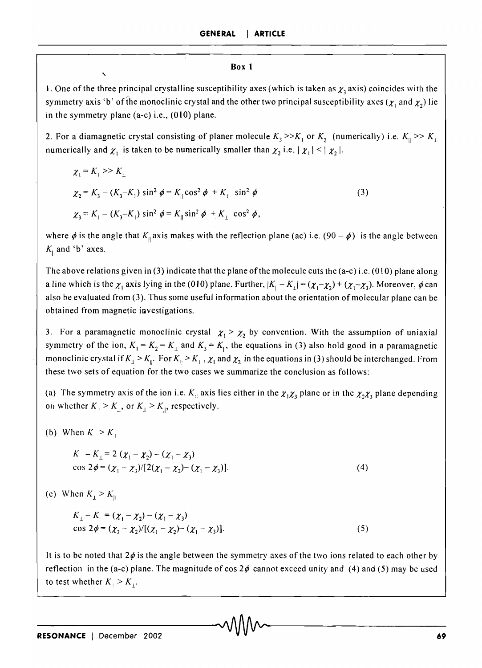#### **Box 1**

" . One of the three principal crystalline susceptibility axes (which is taken as  $\gamma$ , axis) coincides with the symmetry axis 'b' of the monoclinic crystal and the other two principal susceptibility axes ( $\chi_i$  and  $\chi_2$ ) lie in the symmetry plane (a-c) i.e., (010) plane.

2. For a diamagnetic crystal consisting of planer molecule  $K_3 \gg K_1$  or  $K_2$  (numerically) i.e.  $K_1 \gg K_1$ numerically and  $\chi_1$  is taken to be numerically smaller than  $\chi_2$  i.e.  $|\chi_1| \le |\chi_2|$ .

$$
\chi_1 = K_1 \gg K_1
$$
  
\n
$$
\chi_2 = K_3 - (K_3 - K_1) \sin^2 \phi = K_{\parallel} \cos^2 \phi + K_{\perp} \sin^2 \phi
$$
  
\n
$$
\chi_3 = K_1 - (K_3 - K_1) \sin^2 \phi = K_{\parallel} \sin^2 \phi + K_{\perp} \cos^2 \phi,
$$
\n(3)

where  $\phi$  is the angle that  $K_{\parallel}$  axis makes with the reflection plane (ac) i.e. (90 -  $\phi$ ) is the angle between  $K_{\parallel}$  and 'b' axes.

The above relations given in (3) indicate that the plane of the molecule cuts the (a-c) i.e. (010) plane along a line which is the  $\chi_1$  axis lying in the (010) plane. Further,  $|K_\parallel - K_\perp| = (\chi_1 - \chi_2) + (\chi_1 - \chi_3)$ . Moreover,  $\phi$  can also be evaluated from (3). Thus some useful information about the orientation of molecular plane can be obtained from magnetic investigations.

3. For a paramagnetic monoclinic crystal  $\chi_1 > \chi_2$  by convention. With the assumption of uniaxial symmetry of the ion,  $K_1 = K_2 = K_1$  and  $K_3 = K_{\parallel}$ , the equations in (3) also hold good in a paramagnetic monoclinic crystal if  $K_1 > K_1$ . For  $K_1 > K_1$ ,  $\chi_1$  and  $\chi_2$  in the equations in (3) should be interchanged. From these two sets of equation for the two cases we summarize the conclusion as follows:

(a) The symmetry axis of the ion i.e.  $K_i$  axis lies either in the  $\chi_1 \chi_3$  plane or in the  $\chi_2 \chi_3$  plane depending on whether  $K > K_1$ , or  $K_1 > K_0$ , respectively.

(b) When  $K > K<sub>1</sub>$ .

$$
K - K_{\perp} = 2 (\chi_1 - \chi_2) - (\chi_1 - \chi_3)
$$
  
\n
$$
\cos 2\phi = (\chi_1 - \chi_3) / [2(\chi_1 - \chi_2) - (\chi_1 - \chi_3)].
$$
\n(4)

(e) When  $K_1 > K_1$ 

$$
K_{\perp} - K_{\perp} = (\chi_1 - \chi_2) - (\chi_1 - \chi_3)
$$
  
\ncos 2 $\phi = (\chi_3 - \chi_2)/[(\chi_1 - \chi_2) - (\chi_1 - \chi_3)].$  (5)

It is to be noted that  $2\phi$  is the angle between the symmetry axes of the two ions related to each other by reflection in the (a-c) plane. The magnitude of cos  $2\phi$  cannot exceed unity and (4) and (5) may be used to test whether  $K_{\parallel} > K_{\perp}$ .